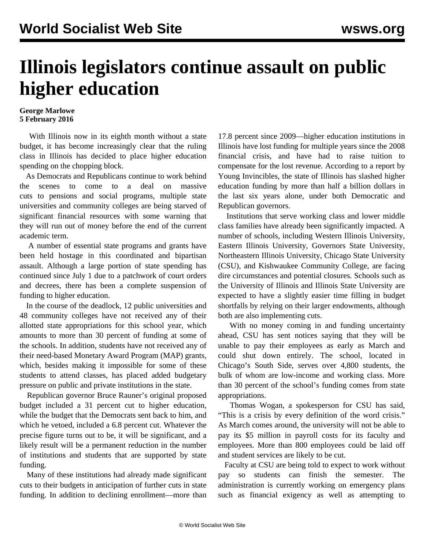## **Illinois legislators continue assault on public higher education**

## **George Marlowe 5 February 2016**

 With Illinois now in its eighth month without a state budget, it has become increasingly clear that the ruling class in Illinois has decided to place higher education spending on the chopping block.

 As Democrats and Republicans continue to work behind the scenes to come to a [deal](/en/articles/2016/02/02/illi-f02.html) on massive cuts to pensions and social programs, multiple state universities and community colleges are being starved of significant financial resources with some warning that they will run out of money before the end of the current academic term.

 A number of essential state programs and grants have been held hostage in this coordinated and bipartisan assault. Although a large portion of state spending has continued since July 1 due to a patchwork of court orders and decrees, there has been a complete suspension of funding to higher education.

 In the course of the deadlock, 12 public universities and 48 community colleges have not received any of their allotted state appropriations for this school year, which amounts to more than 30 percent of funding at some of the schools. In addition, students have not received any of their need-based Monetary Award Program (MAP) grants, which, besides making it impossible for some of these students to attend classes, has placed added budgetary pressure on public and private institutions in the state.

 Republican governor Bruce Rauner's original proposed budget included a 31 percent cut to higher education, while the budget that the Democrats sent back to him, and which he vetoed, included a 6.8 percent cut. Whatever the precise figure turns out to be, it will be significant, and a likely result will be a permanent reduction in the number of institutions and students that are supported by state funding.

 Many of these institutions had already made significant cuts to their budgets in anticipation of further cuts in state funding. In addition to declining enrollment—more than

17.8 percent since 2009—higher education institutions in Illinois have lost funding for multiple years since the 2008 financial crisis, and have had to raise tuition to compensate for the lost revenue. According to a report by Young Invincibles, the state of Illinois has slashed higher education funding by more than half a billion dollars in the last six years alone, under both Democratic and Republican governors.

 Institutions that serve working class and lower middle class families have already been significantly impacted. A number of schools, including Western Illinois University, Eastern Illinois University, Governors State University, Northeastern Illinois University, Chicago State University (CSU), and Kishwaukee Community College, are facing dire circumstances and potential closures. Schools such as the University of Illinois and Illinois State University are expected to have a slightly easier time filling in budget shortfalls by relying on their larger endowments, although both are also implementing cuts.

 With no money coming in and funding uncertainty ahead, CSU has sent notices saying that they will be unable to pay their employees as early as March and could shut down entirely. The school, located in Chicago's South Side, serves over 4,800 students, the bulk of whom are low-income and working class. More than 30 percent of the school's funding comes from state appropriations.

 Thomas Wogan, a spokesperson for CSU has said, "This is a crisis by every definition of the word crisis." As March comes around, the university will not be able to pay its \$5 million in payroll costs for its faculty and employees. More than 800 employees could be laid off and student services are likely to be cut.

 Faculty at CSU are being told to expect to work without pay so students can finish the semester. The administration is currently working on emergency plans such as financial exigency as well as attempting to